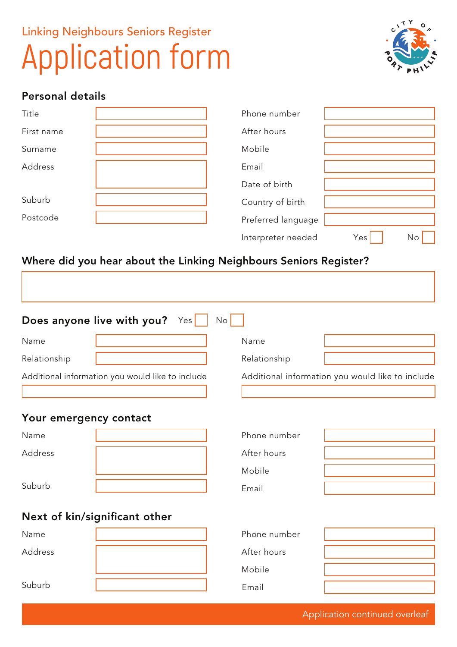# Linking Neighbours Seniors Register Application form



### Personal details

| Title      | Phone number       |           |
|------------|--------------------|-----------|
| First name | After hours        |           |
| Surname    | Mobile             |           |
| Address    | Email              |           |
|            | Date of birth      |           |
| Suburb     | Country of birth   |           |
| Postcode   | Preferred language |           |
|            | Interpreter needed | Yes<br>No |

## Where did you hear about the Linking Neighbours Seniors Register?

| Does anyone live with you?<br>Yes <sub>l</sub><br>No |                                                  |  |              |                                                  |
|------------------------------------------------------|--------------------------------------------------|--|--------------|--------------------------------------------------|
| Name                                                 |                                                  |  | Name         |                                                  |
| Relationship                                         |                                                  |  | Relationship |                                                  |
|                                                      | Additional information you would like to include |  |              | Additional information you would like to include |
| Your emergency contact                               |                                                  |  |              |                                                  |
| Name                                                 |                                                  |  | Phone number |                                                  |
| Address                                              |                                                  |  | After hours  |                                                  |
|                                                      |                                                  |  | Mobile       |                                                  |
| Suburb                                               |                                                  |  | Email        |                                                  |
| Next of kin/significant other                        |                                                  |  |              |                                                  |
| Name                                                 |                                                  |  | Phone number |                                                  |
| Address                                              |                                                  |  | After hours  |                                                  |
|                                                      |                                                  |  | Mobile       |                                                  |
| Suburb                                               |                                                  |  | Email        |                                                  |

Application continued overleaf